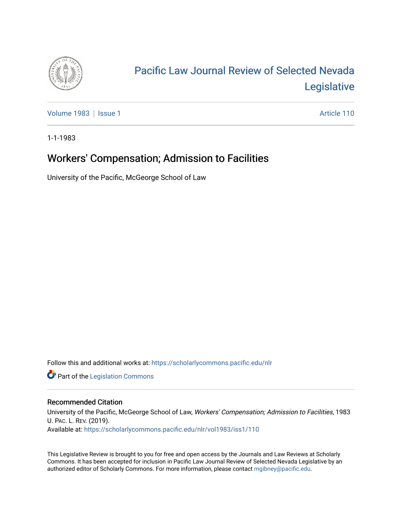

## [Pacific Law Journal Review of Selected Nevada](https://scholarlycommons.pacific.edu/nlr)  [Legislative](https://scholarlycommons.pacific.edu/nlr)

[Volume 1983](https://scholarlycommons.pacific.edu/nlr/vol1983) | [Issue 1](https://scholarlycommons.pacific.edu/nlr/vol1983/iss1) Article 110

1-1-1983

## Workers' Compensation; Admission to Facilities

University of the Pacific, McGeorge School of Law

Follow this and additional works at: [https://scholarlycommons.pacific.edu/nlr](https://scholarlycommons.pacific.edu/nlr?utm_source=scholarlycommons.pacific.edu%2Fnlr%2Fvol1983%2Fiss1%2F110&utm_medium=PDF&utm_campaign=PDFCoverPages) 

**Part of the [Legislation Commons](http://network.bepress.com/hgg/discipline/859?utm_source=scholarlycommons.pacific.edu%2Fnlr%2Fvol1983%2Fiss1%2F110&utm_medium=PDF&utm_campaign=PDFCoverPages)** 

## Recommended Citation

University of the Pacific, McGeorge School of Law, Workers' Compensation; Admission to Facilities, 1983 U. PAC. L. REV. (2019). Available at: [https://scholarlycommons.pacific.edu/nlr/vol1983/iss1/110](https://scholarlycommons.pacific.edu/nlr/vol1983/iss1/110?utm_source=scholarlycommons.pacific.edu%2Fnlr%2Fvol1983%2Fiss1%2F110&utm_medium=PDF&utm_campaign=PDFCoverPages) 

This Legislative Review is brought to you for free and open access by the Journals and Law Reviews at Scholarly Commons. It has been accepted for inclusion in Pacific Law Journal Review of Selected Nevada Legislative by an authorized editor of Scholarly Commons. For more information, please contact [mgibney@pacific.edu](mailto:mgibney@pacific.edu).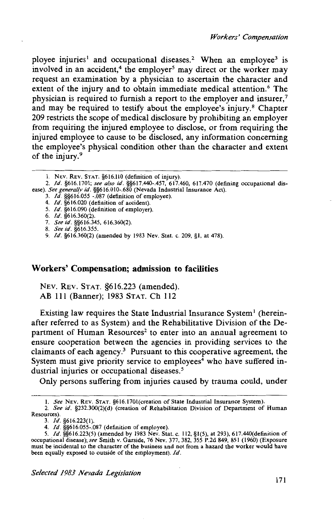ployee injuries<sup>1</sup> and occupational diseases.<sup>2</sup> When an employee<sup>3</sup> is involved in an accident,<sup>4</sup> the employer<sup>5</sup> may direct or the worker may request an examination by a physician to ascertain the character and extent of the injury and to obtain immediate medical attention.<sup>6</sup> The physician is required to furnish a report to the employer and insurer, 7 and may be required to testify about the employee's injury.<sup>8</sup> Chapter 209 restricts the scope of medical disclosure by prohibiting an employer from requiring the injured employee to disclose, or from requiring the injured employee to cause to be disclosed, any information concerning the employee's physical condition other than the character and extent of the injury.9

3. Jd. §§616.055 -.087 (definition of employee).

- 5. */d.* §616.090 (definition of employer).
- 6. */d.* §616.360(2).
- 7. *See id.* §§616.345, 616.360(2).

9. */d.* §616.360(2) (amended by 1983 Nev. Stat. c. 209, §1, at 478).

## **Workers' Compensation; admission to facilities**

NEV. REV. STAT. §616.223 (amended). AB 111 (Banner); 1983 STAT. Ch 112

Existing law requires the State Industrial Insurance System<sup>1</sup> (hereinafter referred to as System) and the Rehabilitative Division of the Department of Human Resources<sup>2</sup> to enter into an annual agreement to ensure cooperation between the agencies in providing services to the claimants of each agency.3 Pursuant to this cooperative agreement, the System must give priority service to employees<sup>4</sup> who have suffered industrial injuries or occupational diseases.<sup>5</sup>

Only persons suffering from injuries caused by trauma could, under

*Selected 1983 Nevada Legislation* 

I. NEV. REV. STAT. §616.110 (definition of injury).

<sup>2.</sup> */d.* §616.1701; *see also id.* §§617.440-.457, 617.460, 617.470 (defining occupational disease). *See generally id.* §§616.010-.680 (Nevada Industrial Insurance Act).

<sup>4.</sup> */d.* §616.020 (definition of accident).

<sup>8.</sup> *See id.* §616.355.

I. *See* NEv. REV. STAT. §616.170l(creation of State Industrial Insurance System).

<sup>2.</sup> *See id.* §232.300(2)(d) (creation of Rehabilitation Division of Department of Human Resources).

<sup>3.</sup> */d.* §616.223(1).

<sup>4.</sup> */d.* §§616.055-.087 (definition of employee).

<sup>5.</sup> */d.* §§616.223(5) (amended by 1983 Nev. Stat. c. 112, §1(5), at 293), 617.440(definition of occupational disease); *see* Smith v. Garside, 76 Nev. 377, 382, 355 P.2d 849, 851 (1960) (Exposure must be incidental to the character of the business and not from a hazard the worker would have been equally exposed to outside of the employment). */d.*